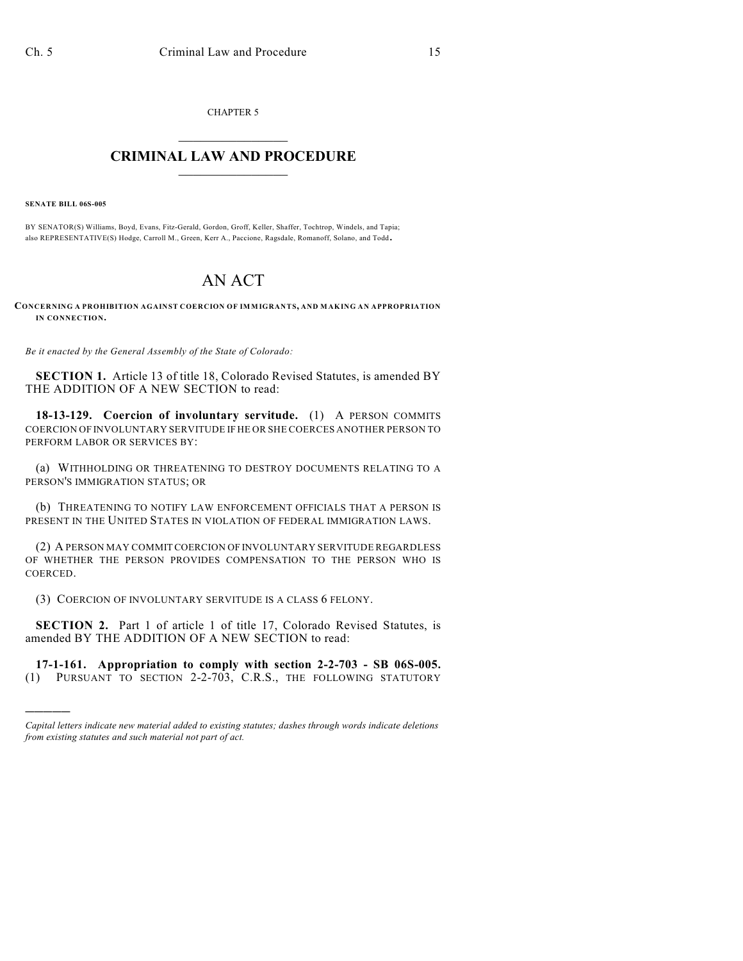CHAPTER 5

## $\overline{\phantom{a}}$  . The set of the set of the set of the set of the set of the set of the set of the set of the set of the set of the set of the set of the set of the set of the set of the set of the set of the set of the set o **CRIMINAL LAW AND PROCEDURE**  $\frac{1}{2}$  ,  $\frac{1}{2}$  ,  $\frac{1}{2}$  ,  $\frac{1}{2}$  ,  $\frac{1}{2}$  ,  $\frac{1}{2}$  ,  $\frac{1}{2}$

**SENATE BILL 06S-005**

)))))

BY SENATOR(S) Williams, Boyd, Evans, Fitz-Gerald, Gordon, Groff, Keller, Shaffer, Tochtrop, Windels, and Tapia; also REPRESENTATIVE(S) Hodge, Carroll M., Green, Kerr A., Paccione, Ragsdale, Romanoff, Solano, and Todd.

## AN ACT

**CONCERNING A PROHIBITION AGAINST COERCION OF IMMIGRANTS, AND MAKING AN APPROPRIATION IN CONNECTION.**

*Be it enacted by the General Assembly of the State of Colorado:*

**SECTION 1.** Article 13 of title 18, Colorado Revised Statutes, is amended BY THE ADDITION OF A NEW SECTION to read:

**18-13-129. Coercion of involuntary servitude.** (1) A PERSON COMMITS COERCION OF INVOLUNTARY SERVITUDE IF HE OR SHE COERCES ANOTHER PERSON TO PERFORM LABOR OR SERVICES BY:

(a) WITHHOLDING OR THREATENING TO DESTROY DOCUMENTS RELATING TO A PERSON'S IMMIGRATION STATUS; OR

(b) THREATENING TO NOTIFY LAW ENFORCEMENT OFFICIALS THAT A PERSON IS PRESENT IN THE UNITED STATES IN VIOLATION OF FEDERAL IMMIGRATION LAWS.

(2) A PERSON MAY COMMIT COERCION OF INVOLUNTARY SERVITUDE REGARDLESS OF WHETHER THE PERSON PROVIDES COMPENSATION TO THE PERSON WHO IS COERCED.

(3) COERCION OF INVOLUNTARY SERVITUDE IS A CLASS 6 FELONY.

**SECTION 2.** Part 1 of article 1 of title 17, Colorado Revised Statutes, is amended BY THE ADDITION OF A NEW SECTION to read:

**17-1-161. Appropriation to comply with section 2-2-703 - SB 06S-005.** (1) PURSUANT TO SECTION 2-2-703, C.R.S., THE FOLLOWING STATUTORY

*Capital letters indicate new material added to existing statutes; dashes through words indicate deletions from existing statutes and such material not part of act.*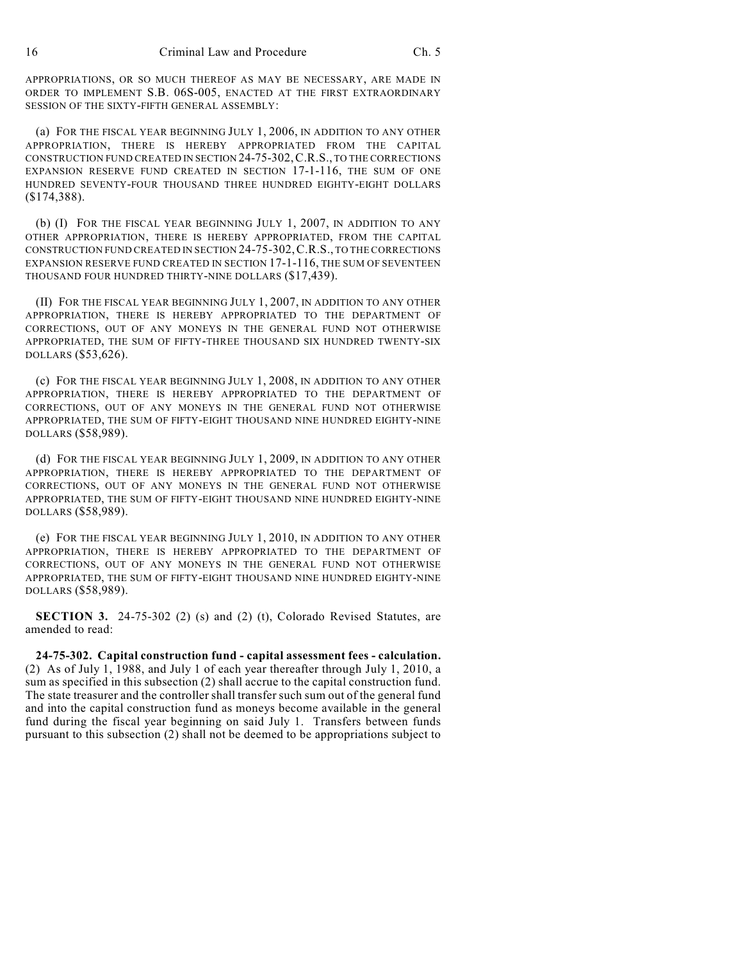APPROPRIATIONS, OR SO MUCH THEREOF AS MAY BE NECESSARY, ARE MADE IN ORDER TO IMPLEMENT S.B. 06S-005, ENACTED AT THE FIRST EXTRAORDINARY SESSION OF THE SIXTY-FIFTH GENERAL ASSEMBLY:

(a) FOR THE FISCAL YEAR BEGINNING JULY 1, 2006, IN ADDITION TO ANY OTHER APPROPRIATION, THERE IS HEREBY APPROPRIATED FROM THE CAPITAL CONSTRUCTION FUND CREATED IN SECTION 24-75-302,C.R.S., TO THE CORRECTIONS EXPANSION RESERVE FUND CREATED IN SECTION 17-1-116, THE SUM OF ONE HUNDRED SEVENTY-FOUR THOUSAND THREE HUNDRED EIGHTY-EIGHT DOLLARS (\$174,388).

(b) (I) FOR THE FISCAL YEAR BEGINNING JULY 1, 2007, IN ADDITION TO ANY OTHER APPROPRIATION, THERE IS HEREBY APPROPRIATED, FROM THE CAPITAL CONSTRUCTION FUND CREATED IN SECTION 24-75-302,C.R.S., TO THE CORRECTIONS EXPANSION RESERVE FUND CREATED IN SECTION 17-1-116, THE SUM OF SEVENTEEN THOUSAND FOUR HUNDRED THIRTY-NINE DOLLARS (\$17,439).

(II) FOR THE FISCAL YEAR BEGINNING JULY 1, 2007, IN ADDITION TO ANY OTHER APPROPRIATION, THERE IS HEREBY APPROPRIATED TO THE DEPARTMENT OF CORRECTIONS, OUT OF ANY MONEYS IN THE GENERAL FUND NOT OTHERWISE APPROPRIATED, THE SUM OF FIFTY-THREE THOUSAND SIX HUNDRED TWENTY-SIX DOLLARS (\$53,626).

(c) FOR THE FISCAL YEAR BEGINNING JULY 1, 2008, IN ADDITION TO ANY OTHER APPROPRIATION, THERE IS HEREBY APPROPRIATED TO THE DEPARTMENT OF CORRECTIONS, OUT OF ANY MONEYS IN THE GENERAL FUND NOT OTHERWISE APPROPRIATED, THE SUM OF FIFTY-EIGHT THOUSAND NINE HUNDRED EIGHTY-NINE DOLLARS (\$58,989).

(d) FOR THE FISCAL YEAR BEGINNING JULY 1, 2009, IN ADDITION TO ANY OTHER APPROPRIATION, THERE IS HEREBY APPROPRIATED TO THE DEPARTMENT OF CORRECTIONS, OUT OF ANY MONEYS IN THE GENERAL FUND NOT OTHERWISE APPROPRIATED, THE SUM OF FIFTY-EIGHT THOUSAND NINE HUNDRED EIGHTY-NINE DOLLARS (\$58,989).

(e) FOR THE FISCAL YEAR BEGINNING JULY 1, 2010, IN ADDITION TO ANY OTHER APPROPRIATION, THERE IS HEREBY APPROPRIATED TO THE DEPARTMENT OF CORRECTIONS, OUT OF ANY MONEYS IN THE GENERAL FUND NOT OTHERWISE APPROPRIATED, THE SUM OF FIFTY-EIGHT THOUSAND NINE HUNDRED EIGHTY-NINE DOLLARS (\$58,989).

**SECTION 3.** 24-75-302 (2) (s) and (2) (t), Colorado Revised Statutes, are amended to read:

**24-75-302. Capital construction fund - capital assessment fees - calculation.** (2) As of July 1, 1988, and July 1 of each year thereafter through July 1, 2010, a sum as specified in this subsection (2) shall accrue to the capital construction fund. The state treasurer and the controller shall transfer such sum out of the general fund and into the capital construction fund as moneys become available in the general fund during the fiscal year beginning on said July 1. Transfers between funds pursuant to this subsection (2) shall not be deemed to be appropriations subject to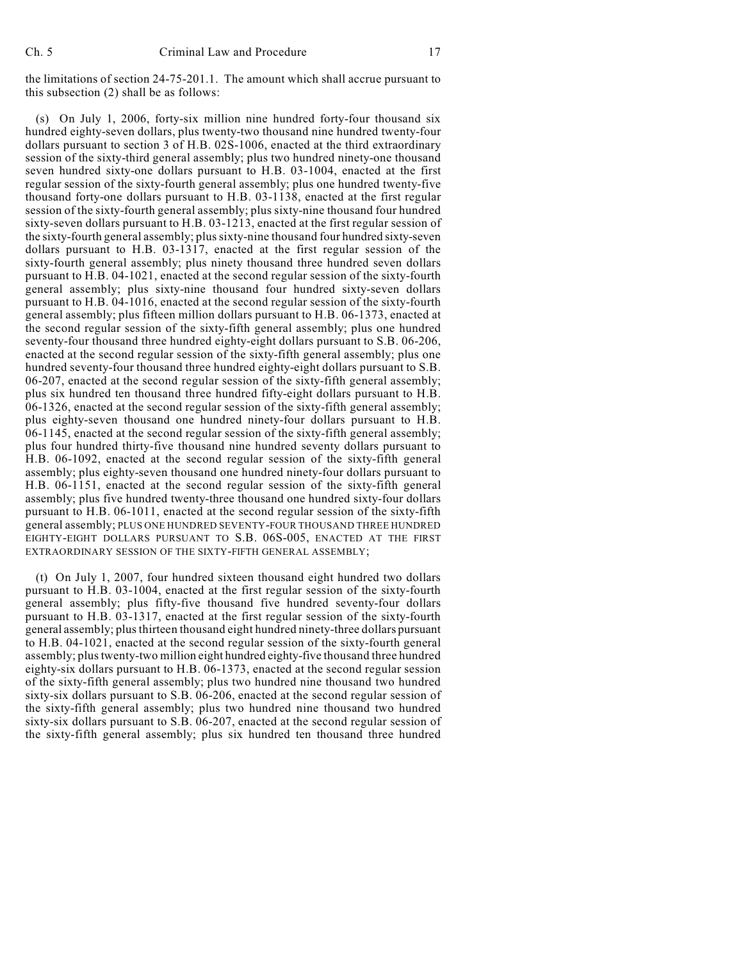the limitations of section 24-75-201.1. The amount which shall accrue pursuant to this subsection (2) shall be as follows:

(s) On July 1, 2006, forty-six million nine hundred forty-four thousand six hundred eighty-seven dollars, plus twenty-two thousand nine hundred twenty-four dollars pursuant to section 3 of H.B. 02S-1006, enacted at the third extraordinary session of the sixty-third general assembly; plus two hundred ninety-one thousand seven hundred sixty-one dollars pursuant to H.B. 03-1004, enacted at the first regular session of the sixty-fourth general assembly; plus one hundred twenty-five thousand forty-one dollars pursuant to H.B. 03-1138, enacted at the first regular session of the sixty-fourth general assembly; plus sixty-nine thousand four hundred sixty-seven dollars pursuant to H.B. 03-1213, enacted at the first regular session of the sixty-fourth general assembly; plus sixty-nine thousand four hundred sixty-seven dollars pursuant to H.B. 03-1317, enacted at the first regular session of the sixty-fourth general assembly; plus ninety thousand three hundred seven dollars pursuant to H.B. 04-1021, enacted at the second regular session of the sixty-fourth general assembly; plus sixty-nine thousand four hundred sixty-seven dollars pursuant to H.B. 04-1016, enacted at the second regular session of the sixty-fourth general assembly; plus fifteen million dollars pursuant to H.B. 06-1373, enacted at the second regular session of the sixty-fifth general assembly; plus one hundred seventy-four thousand three hundred eighty-eight dollars pursuant to S.B. 06-206, enacted at the second regular session of the sixty-fifth general assembly; plus one hundred seventy-four thousand three hundred eighty-eight dollars pursuant to S.B. 06-207, enacted at the second regular session of the sixty-fifth general assembly; plus six hundred ten thousand three hundred fifty-eight dollars pursuant to H.B. 06-1326, enacted at the second regular session of the sixty-fifth general assembly; plus eighty-seven thousand one hundred ninety-four dollars pursuant to H.B. 06-1145, enacted at the second regular session of the sixty-fifth general assembly; plus four hundred thirty-five thousand nine hundred seventy dollars pursuant to H.B. 06-1092, enacted at the second regular session of the sixty-fifth general assembly; plus eighty-seven thousand one hundred ninety-four dollars pursuant to H.B. 06-1151, enacted at the second regular session of the sixty-fifth general assembly; plus five hundred twenty-three thousand one hundred sixty-four dollars pursuant to H.B. 06-1011, enacted at the second regular session of the sixty-fifth general assembly; PLUS ONE HUNDRED SEVENTY-FOUR THOUSAND THREE HUNDRED EIGHTY-EIGHT DOLLARS PURSUANT TO S.B. 06S-005, ENACTED AT THE FIRST EXTRAORDINARY SESSION OF THE SIXTY-FIFTH GENERAL ASSEMBLY;

(t) On July 1, 2007, four hundred sixteen thousand eight hundred two dollars pursuant to H.B. 03-1004, enacted at the first regular session of the sixty-fourth general assembly; plus fifty-five thousand five hundred seventy-four dollars pursuant to H.B. 03-1317, enacted at the first regular session of the sixty-fourth general assembly; plus thirteen thousand eight hundred ninety-three dollars pursuant to H.B. 04-1021, enacted at the second regular session of the sixty-fourth general assembly; plus twenty-two million eight hundred eighty-five thousand three hundred eighty-six dollars pursuant to H.B. 06-1373, enacted at the second regular session of the sixty-fifth general assembly; plus two hundred nine thousand two hundred sixty-six dollars pursuant to S.B. 06-206, enacted at the second regular session of the sixty-fifth general assembly; plus two hundred nine thousand two hundred sixty-six dollars pursuant to S.B. 06-207, enacted at the second regular session of the sixty-fifth general assembly; plus six hundred ten thousand three hundred